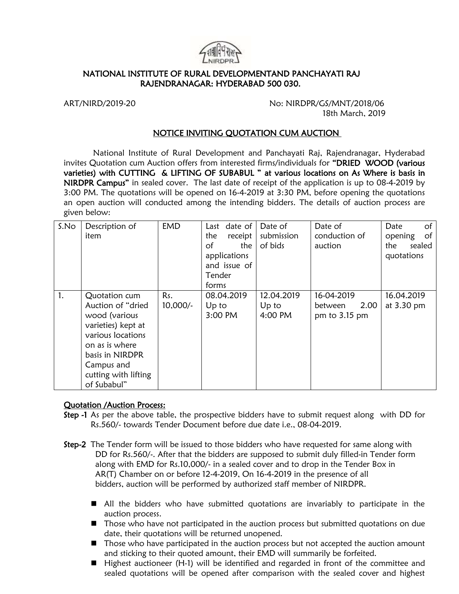

## NATIONAL INSTITUTE OF RURAL DEVELOPMENTAND PANCHAYATI RAJ RAJENDRANAGAR: HYDERABAD 500 030.

ART/NIRD/2019-20 No: NIRDPR/GS/MNT/2018/06 18th March, 2019

### NOTICE INVITING QUOTATION CUM AUCTION

 National Institute of Rural Development and Panchayati Raj, Rajendranagar, Hyderabad invites Quotation cum Auction offers from interested firms/individuals for "DRIED WOOD (various varieties) with CUTTING & LIFTING OF SUBABUL " at various locations on As Where is basis in NIRDPR Campus" in sealed cover. The last date of receipt of the application is up to 08-4-2019 by 3:00 PM. The quotations will be opened on 16-4-2019 at 3:30 PM, before opening the quotations an open auction will conducted among the intending bidders. The details of auction process are given below:

| S.No | Description of<br>item                                                                                                                                                                   | <b>EMD</b>        | Last date of<br>the<br>receipt<br>the<br>οf<br>applications<br>and issue of<br>Tender<br>forms | Date of<br>submission<br>of bids | Date of<br>conduction of<br>auction            | of<br>Date<br>of<br>opening<br>sealed<br>the<br>quotations |
|------|------------------------------------------------------------------------------------------------------------------------------------------------------------------------------------------|-------------------|------------------------------------------------------------------------------------------------|----------------------------------|------------------------------------------------|------------------------------------------------------------|
| 1.   | Quotation cum<br>Auction of "dried<br>wood (various<br>varieties) kept at<br>various locations<br>on as is where<br>basis in NIRDPR<br>Campus and<br>cutting with lifting<br>of Subabul" | Rs.<br>$10,000/-$ | 08.04.2019<br>Up to<br>3:00 PM                                                                 | 12.04.2019<br>$Up$ to<br>4:00 PM | 16-04-2019<br>2.00<br>between<br>pm to 3.15 pm | 16.04.2019<br>at 3.30 pm                                   |

#### Quotation /Auction Process:

- Step -1 As per the above table, the prospective bidders have to submit request along with DD for Rs.560/- towards Tender Document before due date i.e., 08-04-2019.
- Step-2 The Tender form will be issued to those bidders who have requested for same along with DD for Rs.560/-. After that the bidders are supposed to submit duly filled-in Tender form along with EMD for Rs.10,000/- in a sealed cover and to drop in the Tender Box in AR(T) Chamber on or before 12-4-2019, On 16-4-2019 in the presence of all bidders, auction will be performed by authorized staff member of NIRDPR.
	- All the bidders who have submitted quotations are invariably to participate in the auction process.
	- Those who have not participated in the auction process but submitted quotations on due date, their quotations will be returned unopened.
	- Those who have participated in the auction process but not accepted the auction amount and sticking to their quoted amount, their EMD will summarily be forfeited.
	- Highest auctioneer (H-1) will be identified and regarded in front of the committee and sealed quotations will be opened after comparison with the sealed cover and highest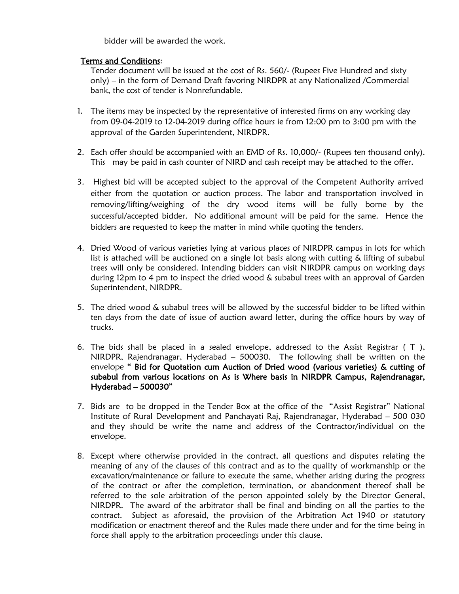bidder will be awarded the work.

## Terms and Conditions:

Tender document will be issued at the cost of Rs. 560/- (Rupees Five Hundred and sixty only) – in the form of Demand Draft favoring NIRDPR at any Nationalized /Commercial bank, the cost of tender is Nonrefundable.

- 1. The items may be inspected by the representative of interested firms on any working day from 09-04-2019 to 12-04-2019 during office hours ie from 12:00 pm to 3:00 pm with the approval of the Garden Superintendent, NIRDPR.
- 2. Each offer should be accompanied with an EMD of Rs. 10,000/- (Rupees ten thousand only). This may be paid in cash counter of NIRD and cash receipt may be attached to the offer.
- 3. Highest bid will be accepted subject to the approval of the Competent Authority arrived either from the quotation or auction process. The labor and transportation involved in removing/lifting/weighing of the dry wood items will be fully borne by the successful/accepted bidder. No additional amount will be paid for the same. Hence the bidders are requested to keep the matter in mind while quoting the tenders.
- 4. Dried Wood of various varieties lying at various places of NIRDPR campus in lots for which list is attached will be auctioned on a single lot basis along with cutting & lifting of subabul trees will only be considered. Intending bidders can visit NIRDPR campus on working days during 12pm to 4 pm to inspect the dried wood & subabul trees with an approval of Garden Superintendent, NIRDPR.
- 5. The dried wood & subabul trees will be allowed by the successful bidder to be lifted within ten days from the date of issue of auction award letter, during the office hours by way of trucks.
- 6. The bids shall be placed in a sealed envelope, addressed to the Assist Registrar ( T ), NIRDPR, Rajendranagar, Hyderabad – 500030. The following shall be written on the envelope " Bid for Quotation cum Auction of Dried wood (various varieties) & cutting of subabul from various locations on As is Where basis in NIRDPR Campus, Rajendranagar, Hyderabad – 500030"
- 7. Bids are to be dropped in the Tender Box at the office of the "Assist Registrar" National Institute of Rural Development and Panchayati Raj, Rajendranagar, Hyderabad – 500 030 and they should be write the name and address of the Contractor/individual on the envelope.
- 8. Except where otherwise provided in the contract, all questions and disputes relating the meaning of any of the clauses of this contract and as to the quality of workmanship or the excavation/maintenance or failure to execute the same, whether arising during the progress of the contract or after the completion, termination, or abandonment thereof shall be referred to the sole arbitration of the person appointed solely by the Director General, NIRDPR. The award of the arbitrator shall be final and binding on all the parties to the contract. Subject as aforesaid, the provision of the Arbitration Act 1940 or statutory modification or enactment thereof and the Rules made there under and for the time being in force shall apply to the arbitration proceedings under this clause.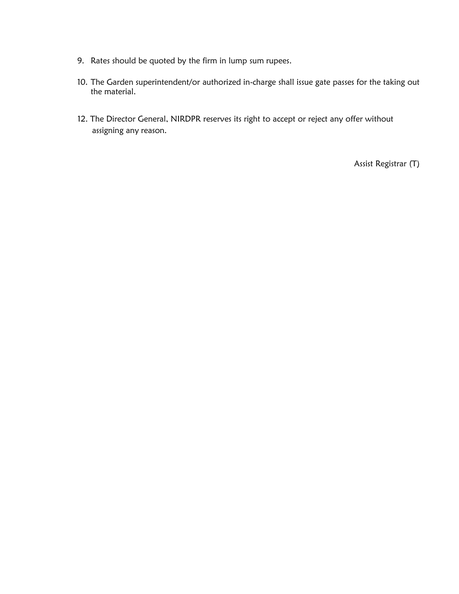- 9. Rates should be quoted by the firm in lump sum rupees.
- 10. The Garden superintendent/or authorized in-charge shall issue gate passes for the taking out the material.
- 12. The Director General, NIRDPR reserves its right to accept or reject any offer without assigning any reason.

Assist Registrar (T)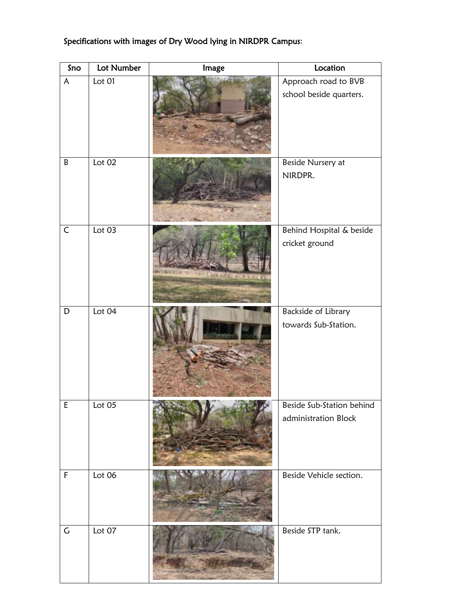| Sno         | Lot Number | Image                            | Location                                          |
|-------------|------------|----------------------------------|---------------------------------------------------|
| A           | Lot 01     |                                  | Approach road to BVB<br>school beside quarters.   |
| B           | Lot 02     |                                  | Beside Nursery at<br>NIRDPR.                      |
| $\mathsf C$ | Lot $03$   | <b>Alanged Avenue and Direct</b> | Behind Hospital & beside<br>cricket ground        |
| D           | Lot 04     |                                  | Backside of Library<br>towards Sub-Station.       |
| $\mathsf E$ | Lot 05     |                                  | Beside Sub-Station behind<br>administration Block |
| $\mathsf F$ | Lot 06     |                                  | Beside Vehicle section.                           |
| $\mathsf C$ | Lot 07     |                                  | Beside STP tank.                                  |

## Specifications with images of Dry Wood lying in NIRDPR Campus: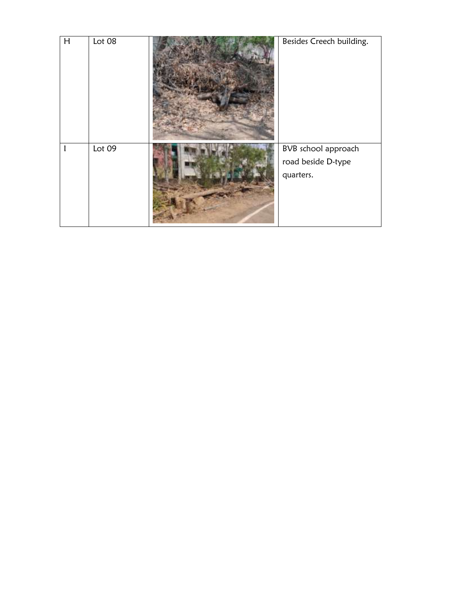| H | Lot 08 | Besides Creech building.                               |
|---|--------|--------------------------------------------------------|
|   | Lot 09 | BVB school approach<br>road beside D-type<br>quarters. |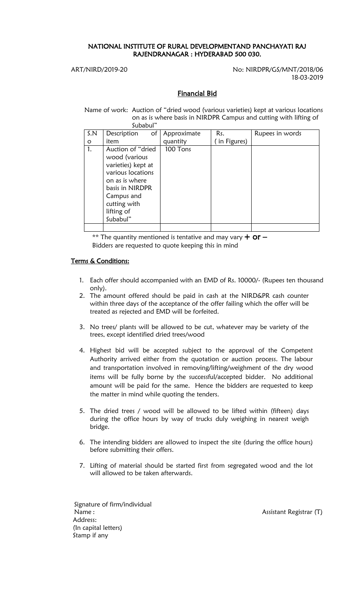## NATIONAL INSTITUTE OF RURAL DEVELOPMENTAND PANCHAYATI RAJ RAJENDRANAGAR : HYDERABAD 500 030.

ART/NIRD/2019-20 No: NIRDPR/GS/MNT/2018/06 18-03-2019

## Financial Bid

 Name of work: Auction of "dried wood (various varieties) kept at various locations on as is where basis in NIRDPR Campus and cutting with lifting of Subabul"

| S.N     | Description<br>of                                                                                                                                                           | Approximate | Rs.         | Rupees in words |  |  |
|---------|-----------------------------------------------------------------------------------------------------------------------------------------------------------------------------|-------------|-------------|-----------------|--|--|
| $\circ$ | item                                                                                                                                                                        | quantity    | in Figures) |                 |  |  |
| 1.      | Auction of "dried"<br>wood (various<br>varieties) kept at<br>various locations<br>on as is where<br>basis in NIRDPR<br>Campus and<br>cutting with<br>lifting of<br>Subabul" | 100 Tons    |             |                 |  |  |
|         |                                                                                                                                                                             |             |             |                 |  |  |

\*\* The quantity mentioned is tentative and may vary  $+$  Or  $-$ Bidders are requested to quote keeping this in mind

## Terms & Conditions:

- 1. Each offer should accompanied with an EMD of Rs. 10000/- (Rupees ten thousand only).
- 2. The amount offered should be paid in cash at the NIRD&PR cash counter within three days of the acceptance of the offer failing which the offer will be treated as rejected and EMD will be forfeited.
- 3. No trees/ plants will be allowed to be cut, whatever may be variety of the trees, except identified dried trees/wood
- 4. Highest bid will be accepted subject to the approval of the Competent Authority arrived either from the quotation or auction process. The labour and transportation involved in removing/lifting/weighment of the dry wood items will be fully borne by the successful/accepted bidder. No additional amount will be paid for the same. Hence the bidders are requested to keep the matter in mind while quoting the tenders.
- 5. The dried trees / wood will be allowed to be lifted within (fifteen) days during the office hours by way of trucks duly weighing in nearest weigh bridge.
- 6. The intending bidders are allowed to inspect the site (during the office hours) before submitting their offers.
- 7. Lifting of material should be started first from segregated wood and the lot will allowed to be taken afterwards.

Signature of firm/individual Name : Name : Assistant Registrar (T) Address: (In capital letters) Stamp if any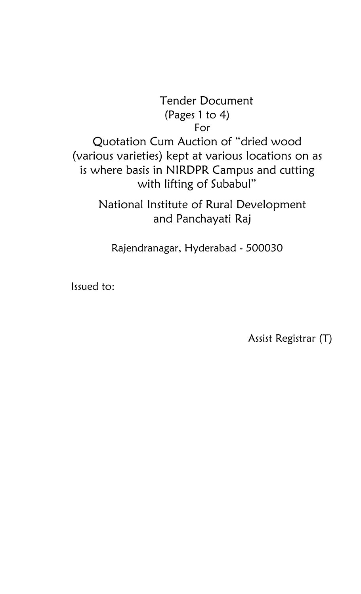# Tender Document (Pages 1 to 4) For Quotation Cum Auction of "dried wood

(various varieties) kept at various locations on as is where basis in NIRDPR Campus and cutting with lifting of Subabul"

> National Institute of Rural Development and Panchayati Raj

Rajendranagar, Hyderabad - 500030

Issued to:

Assist Registrar (T)